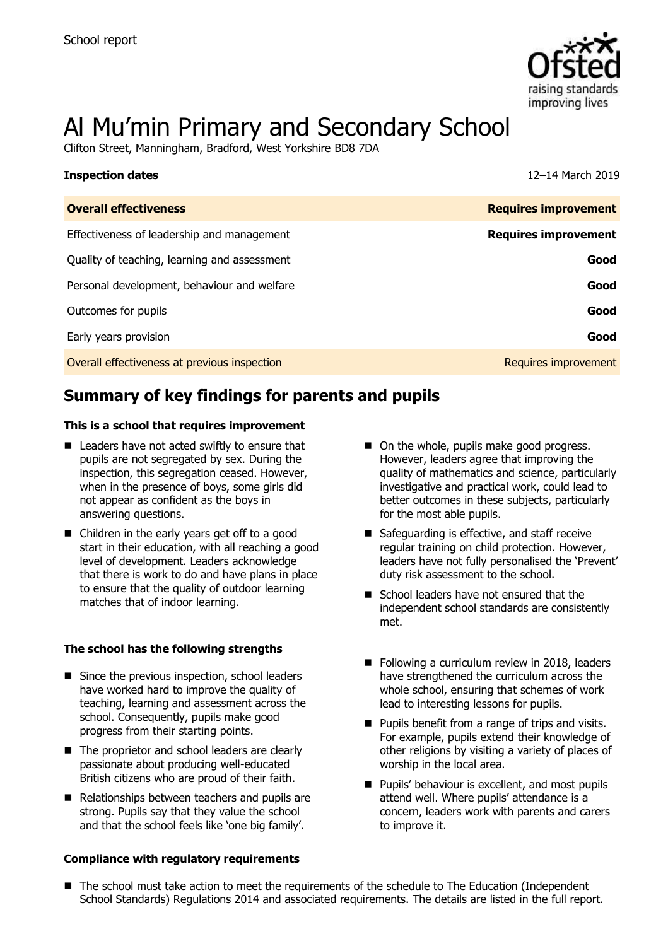

# Al Mu'min Primary and Secondary School

Clifton Street, Manningham, Bradford, West Yorkshire BD8 7DA

| <b>Inspection dates</b>                      | 12-14 March 2019            |
|----------------------------------------------|-----------------------------|
| <b>Overall effectiveness</b>                 | <b>Requires improvement</b> |
| Effectiveness of leadership and management   | <b>Requires improvement</b> |
| Quality of teaching, learning and assessment | Good                        |
| Personal development, behaviour and welfare  | Good                        |
| Outcomes for pupils                          | Good                        |
| Early years provision                        | Good                        |
| Overall effectiveness at previous inspection | Requires improvement        |

# **Summary of key findings for parents and pupils**

#### **This is a school that requires improvement**

- Leaders have not acted swiftly to ensure that pupils are not segregated by sex. During the inspection, this segregation ceased. However, when in the presence of boys, some girls did not appear as confident as the boys in answering questions.
- Children in the early years get off to a good start in their education, with all reaching a good level of development. Leaders acknowledge that there is work to do and have plans in place to ensure that the quality of outdoor learning matches that of indoor learning.

#### **The school has the following strengths**

- Since the previous inspection, school leaders have worked hard to improve the quality of teaching, learning and assessment across the school. Consequently, pupils make good progress from their starting points.
- The proprietor and school leaders are clearly passionate about producing well-educated British citizens who are proud of their faith.
- Relationships between teachers and pupils are strong. Pupils say that they value the school and that the school feels like 'one big family'.

#### **Compliance with regulatory requirements**

- On the whole, pupils make good progress. However, leaders agree that improving the quality of mathematics and science, particularly investigative and practical work, could lead to better outcomes in these subjects, particularly for the most able pupils.
- Safeguarding is effective, and staff receive regular training on child protection. However, leaders have not fully personalised the 'Prevent' duty risk assessment to the school.
- School leaders have not ensured that the independent school standards are consistently met.
- Following a curriculum review in 2018, leaders have strengthened the curriculum across the whole school, ensuring that schemes of work lead to interesting lessons for pupils.
- **Pupils benefit from a range of trips and visits.** For example, pupils extend their knowledge of other religions by visiting a variety of places of worship in the local area.
- **Pupils' behaviour is excellent, and most pupils** attend well. Where pupils' attendance is a concern, leaders work with parents and carers to improve it.
- The school must take action to meet the requirements of the schedule to The Education (Independent School Standards) Regulations 2014 and associated requirements. The details are listed in the full report.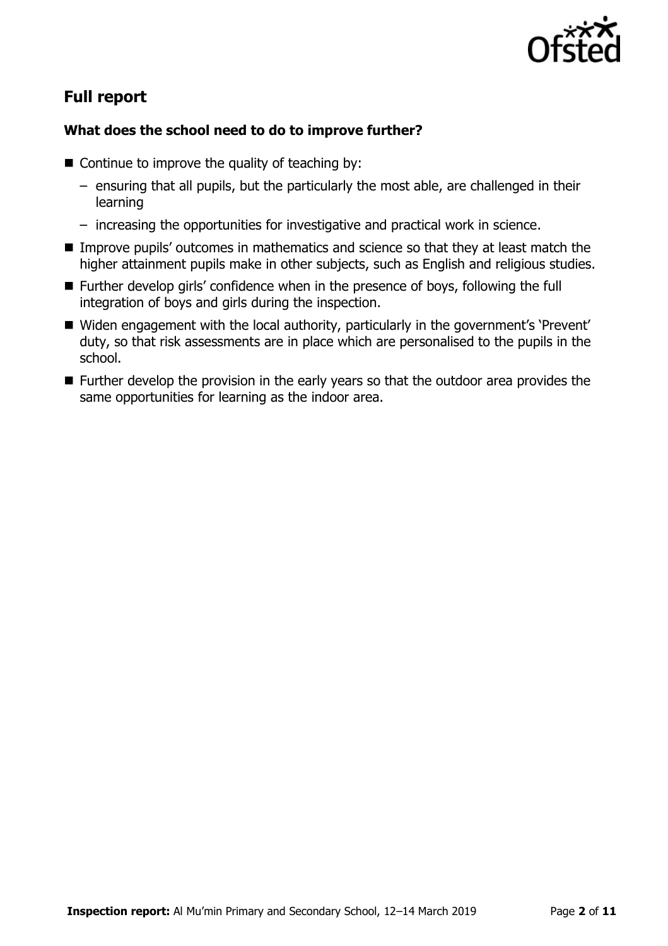

# **Full report**

### **What does the school need to do to improve further?**

- $\blacksquare$  Continue to improve the quality of teaching by:
	- ensuring that all pupils, but the particularly the most able, are challenged in their learning
	- increasing the opportunities for investigative and practical work in science.
- Improve pupils' outcomes in mathematics and science so that they at least match the higher attainment pupils make in other subjects, such as English and religious studies.
- Further develop girls' confidence when in the presence of boys, following the full integration of boys and girls during the inspection.
- Widen engagement with the local authority, particularly in the government's 'Prevent' duty, so that risk assessments are in place which are personalised to the pupils in the school.
- **Further develop the provision in the early years so that the outdoor area provides the** same opportunities for learning as the indoor area.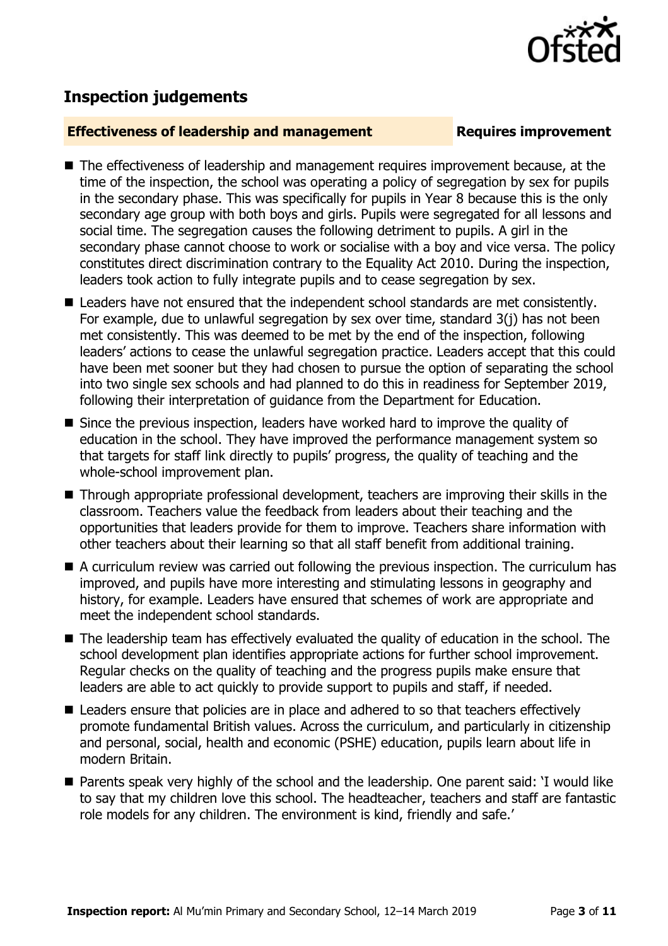

## **Inspection judgements**

#### **Effectiveness of leadership and management Requires improvement**

- The effectiveness of leadership and management requires improvement because, at the time of the inspection, the school was operating a policy of segregation by sex for pupils in the secondary phase. This was specifically for pupils in Year 8 because this is the only secondary age group with both boys and girls. Pupils were segregated for all lessons and social time. The segregation causes the following detriment to pupils. A girl in the secondary phase cannot choose to work or socialise with a boy and vice versa. The policy constitutes direct discrimination contrary to the Equality Act 2010. During the inspection, leaders took action to fully integrate pupils and to cease segregation by sex.
- Leaders have not ensured that the independent school standards are met consistently. For example, due to unlawful segregation by sex over time, standard 3(j) has not been met consistently. This was deemed to be met by the end of the inspection, following leaders' actions to cease the unlawful segregation practice. Leaders accept that this could have been met sooner but they had chosen to pursue the option of separating the school into two single sex schools and had planned to do this in readiness for September 2019, following their interpretation of guidance from the Department for Education.
- Since the previous inspection, leaders have worked hard to improve the quality of education in the school. They have improved the performance management system so that targets for staff link directly to pupils' progress, the quality of teaching and the whole-school improvement plan.
- Through appropriate professional development, teachers are improving their skills in the classroom. Teachers value the feedback from leaders about their teaching and the opportunities that leaders provide for them to improve. Teachers share information with other teachers about their learning so that all staff benefit from additional training.
- A curriculum review was carried out following the previous inspection. The curriculum has improved, and pupils have more interesting and stimulating lessons in geography and history, for example. Leaders have ensured that schemes of work are appropriate and meet the independent school standards.
- The leadership team has effectively evaluated the quality of education in the school. The school development plan identifies appropriate actions for further school improvement. Regular checks on the quality of teaching and the progress pupils make ensure that leaders are able to act quickly to provide support to pupils and staff, if needed.
- Leaders ensure that policies are in place and adhered to so that teachers effectively promote fundamental British values. Across the curriculum, and particularly in citizenship and personal, social, health and economic (PSHE) education, pupils learn about life in modern Britain.
- Parents speak very highly of the school and the leadership. One parent said: 'I would like to say that my children love this school. The headteacher, teachers and staff are fantastic role models for any children. The environment is kind, friendly and safe.'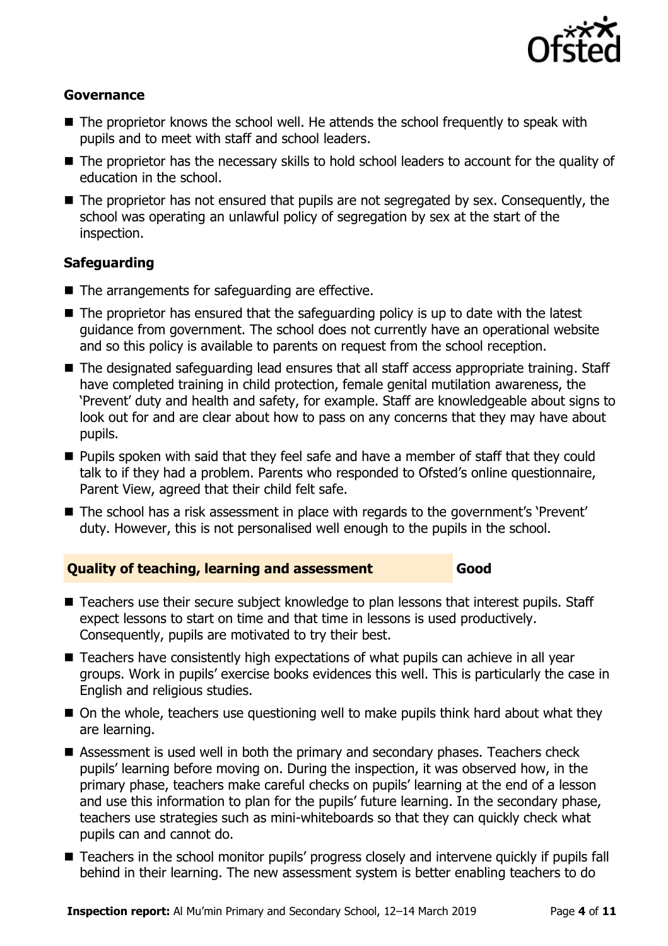

#### **Governance**

- The proprietor knows the school well. He attends the school frequently to speak with pupils and to meet with staff and school leaders.
- The proprietor has the necessary skills to hold school leaders to account for the quality of education in the school.
- The proprietor has not ensured that pupils are not segregated by sex. Consequently, the school was operating an unlawful policy of segregation by sex at the start of the inspection.

### **Safeguarding**

- The arrangements for safeguarding are effective.
- The proprietor has ensured that the safeguarding policy is up to date with the latest guidance from government. The school does not currently have an operational website and so this policy is available to parents on request from the school reception.
- The designated safeguarding lead ensures that all staff access appropriate training. Staff have completed training in child protection, female genital mutilation awareness, the 'Prevent' duty and health and safety, for example. Staff are knowledgeable about signs to look out for and are clear about how to pass on any concerns that they may have about pupils.
- **Pupils spoken with said that they feel safe and have a member of staff that they could** talk to if they had a problem. Parents who responded to Ofsted's online questionnaire, Parent View, agreed that their child felt safe.
- The school has a risk assessment in place with regards to the government's 'Prevent' duty. However, this is not personalised well enough to the pupils in the school.

### **Quality of teaching, learning and assessment Good**

- Teachers use their secure subject knowledge to plan lessons that interest pupils. Staff expect lessons to start on time and that time in lessons is used productively. Consequently, pupils are motivated to try their best.
- Teachers have consistently high expectations of what pupils can achieve in all year groups. Work in pupils' exercise books evidences this well. This is particularly the case in English and religious studies.
- On the whole, teachers use questioning well to make pupils think hard about what they are learning.
- Assessment is used well in both the primary and secondary phases. Teachers check pupils' learning before moving on. During the inspection, it was observed how, in the primary phase, teachers make careful checks on pupils' learning at the end of a lesson and use this information to plan for the pupils' future learning. In the secondary phase, teachers use strategies such as mini-whiteboards so that they can quickly check what pupils can and cannot do.
- Teachers in the school monitor pupils' progress closely and intervene quickly if pupils fall behind in their learning. The new assessment system is better enabling teachers to do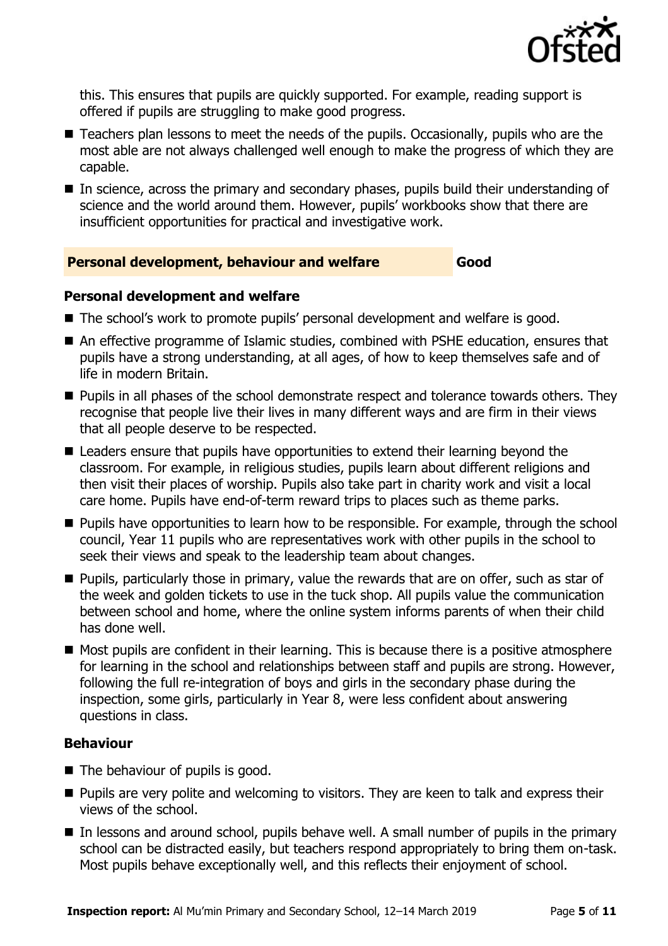

this. This ensures that pupils are quickly supported. For example, reading support is offered if pupils are struggling to make good progress.

- Teachers plan lessons to meet the needs of the pupils. Occasionally, pupils who are the most able are not always challenged well enough to make the progress of which they are capable.
- In science, across the primary and secondary phases, pupils build their understanding of science and the world around them. However, pupils' workbooks show that there are insufficient opportunities for practical and investigative work.

### **Personal development, behaviour and welfare Good**

#### **Personal development and welfare**

- The school's work to promote pupils' personal development and welfare is good.
- An effective programme of Islamic studies, combined with PSHE education, ensures that pupils have a strong understanding, at all ages, of how to keep themselves safe and of life in modern Britain.
- **Pupils in all phases of the school demonstrate respect and tolerance towards others. They** recognise that people live their lives in many different ways and are firm in their views that all people deserve to be respected.
- Leaders ensure that pupils have opportunities to extend their learning beyond the classroom. For example, in religious studies, pupils learn about different religions and then visit their places of worship. Pupils also take part in charity work and visit a local care home. Pupils have end-of-term reward trips to places such as theme parks.
- **Pupils have opportunities to learn how to be responsible. For example, through the school** council, Year 11 pupils who are representatives work with other pupils in the school to seek their views and speak to the leadership team about changes.
- **Pupils, particularly those in primary, value the rewards that are on offer, such as star of** the week and golden tickets to use in the tuck shop. All pupils value the communication between school and home, where the online system informs parents of when their child has done well.
- $\blacksquare$  Most pupils are confident in their learning. This is because there is a positive atmosphere for learning in the school and relationships between staff and pupils are strong. However, following the full re-integration of boys and girls in the secondary phase during the inspection, some girls, particularly in Year 8, were less confident about answering questions in class.

### **Behaviour**

- The behaviour of pupils is good.
- **Pupils are very polite and welcoming to visitors. They are keen to talk and express their** views of the school.
- In lessons and around school, pupils behave well. A small number of pupils in the primary school can be distracted easily, but teachers respond appropriately to bring them on-task. Most pupils behave exceptionally well, and this reflects their enjoyment of school.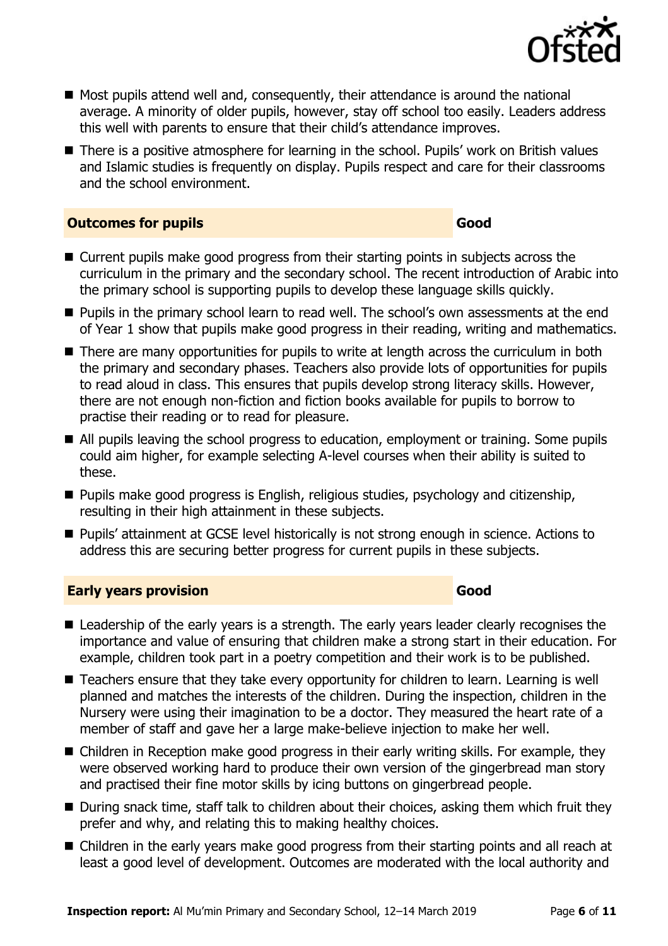

- Most pupils attend well and, consequently, their attendance is around the national average. A minority of older pupils, however, stay off school too easily. Leaders address this well with parents to ensure that their child's attendance improves.
- There is a positive atmosphere for learning in the school. Pupils' work on British values and Islamic studies is frequently on display. Pupils respect and care for their classrooms and the school environment.

#### **Outcomes for pupils Good**

- Current pupils make good progress from their starting points in subjects across the curriculum in the primary and the secondary school. The recent introduction of Arabic into the primary school is supporting pupils to develop these language skills quickly.
- **Pupils in the primary school learn to read well. The school's own assessments at the end** of Year 1 show that pupils make good progress in their reading, writing and mathematics.
- There are many opportunities for pupils to write at length across the curriculum in both the primary and secondary phases. Teachers also provide lots of opportunities for pupils to read aloud in class. This ensures that pupils develop strong literacy skills. However, there are not enough non-fiction and fiction books available for pupils to borrow to practise their reading or to read for pleasure.
- All pupils leaving the school progress to education, employment or training. Some pupils could aim higher, for example selecting A-level courses when their ability is suited to these.
- **Pupils make good progress is English, religious studies, psychology and citizenship,** resulting in their high attainment in these subjects.
- **Pupils' attainment at GCSE level historically is not strong enough in science. Actions to** address this are securing better progress for current pupils in these subjects.

### **Early years provision Good Good**

- Leadership of the early years is a strength. The early years leader clearly recognises the importance and value of ensuring that children make a strong start in their education. For example, children took part in a poetry competition and their work is to be published.
- Teachers ensure that they take every opportunity for children to learn. Learning is well planned and matches the interests of the children. During the inspection, children in the Nursery were using their imagination to be a doctor. They measured the heart rate of a member of staff and gave her a large make-believe injection to make her well.
- Children in Reception make good progress in their early writing skills. For example, they were observed working hard to produce their own version of the gingerbread man story and practised their fine motor skills by icing buttons on gingerbread people.
- During snack time, staff talk to children about their choices, asking them which fruit they prefer and why, and relating this to making healthy choices.
- Children in the early years make good progress from their starting points and all reach at least a good level of development. Outcomes are moderated with the local authority and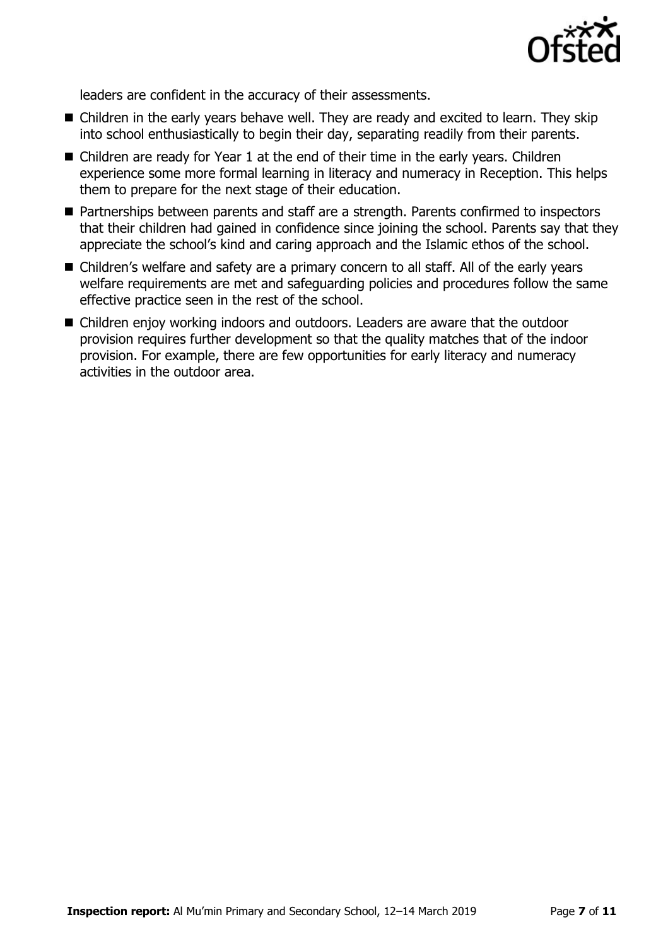

leaders are confident in the accuracy of their assessments.

- Children in the early years behave well. They are ready and excited to learn. They skip into school enthusiastically to begin their day, separating readily from their parents.
- Children are ready for Year 1 at the end of their time in the early years. Children experience some more formal learning in literacy and numeracy in Reception. This helps them to prepare for the next stage of their education.
- Partnerships between parents and staff are a strength. Parents confirmed to inspectors that their children had gained in confidence since joining the school. Parents say that they appreciate the school's kind and caring approach and the Islamic ethos of the school.
- Children's welfare and safety are a primary concern to all staff. All of the early years welfare requirements are met and safeguarding policies and procedures follow the same effective practice seen in the rest of the school.
- Children enjoy working indoors and outdoors. Leaders are aware that the outdoor provision requires further development so that the quality matches that of the indoor provision. For example, there are few opportunities for early literacy and numeracy activities in the outdoor area.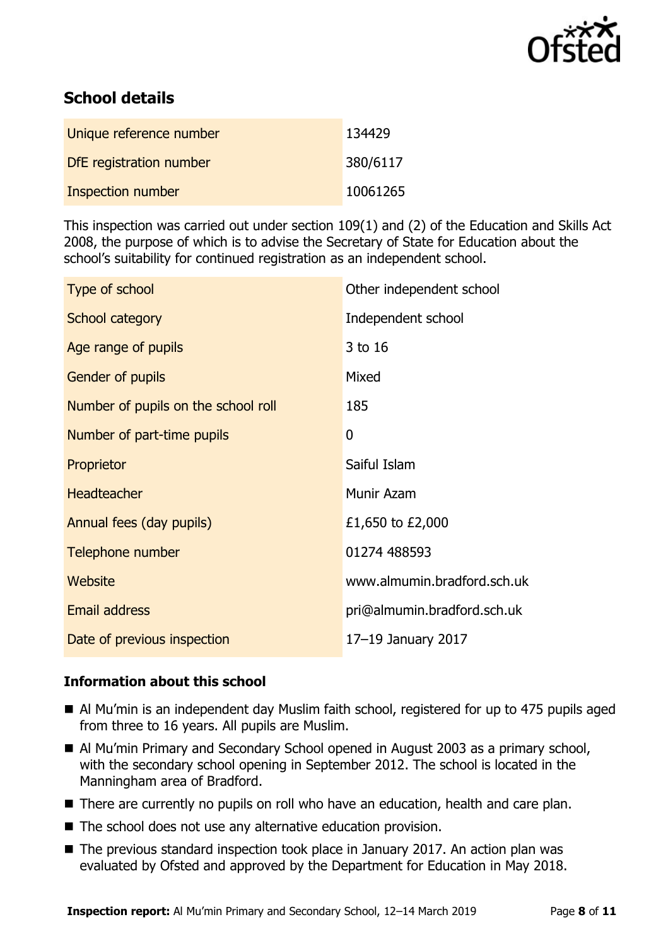

# **School details**

| Unique reference number  | 134429   |
|--------------------------|----------|
| DfE registration number  | 380/6117 |
| <b>Inspection number</b> | 10061265 |

This inspection was carried out under section 109(1) and (2) of the Education and Skills Act 2008, the purpose of which is to advise the Secretary of State for Education about the school's suitability for continued registration as an independent school.

| Type of school                      | Other independent school    |
|-------------------------------------|-----------------------------|
| School category                     | Independent school          |
| Age range of pupils                 | 3 to 16                     |
| Gender of pupils                    | Mixed                       |
| Number of pupils on the school roll | 185                         |
| Number of part-time pupils          | 0                           |
| Proprietor                          | Saiful Islam                |
| <b>Headteacher</b>                  | Munir Azam                  |
| Annual fees (day pupils)            | £1,650 to £2,000            |
| Telephone number                    | 01274 488593                |
| Website                             | www.almumin.bradford.sch.uk |
| <b>Email address</b>                | pri@almumin.bradford.sch.uk |
| Date of previous inspection         | 17-19 January 2017          |

### **Information about this school**

- Al Mu'min is an independent day Muslim faith school, registered for up to 475 pupils aged from three to 16 years. All pupils are Muslim.
- Al Mu'min Primary and Secondary School opened in August 2003 as a primary school, with the secondary school opening in September 2012. The school is located in the Manningham area of Bradford.
- There are currently no pupils on roll who have an education, health and care plan.
- The school does not use any alternative education provision.
- The previous standard inspection took place in January 2017. An action plan was evaluated by Ofsted and approved by the Department for Education in May 2018.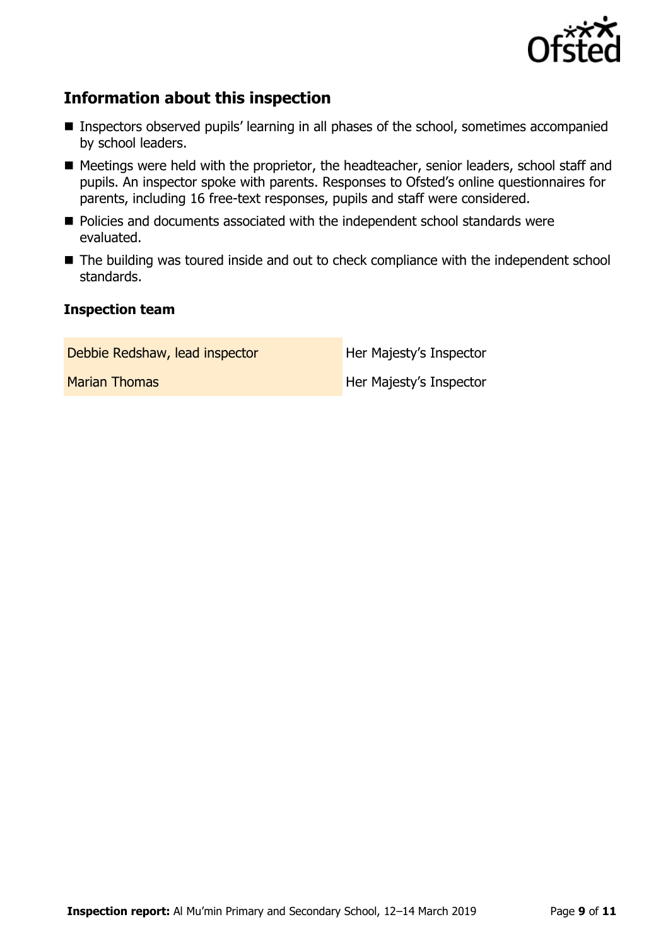

# **Information about this inspection**

- Inspectors observed pupils' learning in all phases of the school, sometimes accompanied by school leaders.
- Meetings were held with the proprietor, the headteacher, senior leaders, school staff and pupils. An inspector spoke with parents. Responses to Ofsted's online questionnaires for parents, including 16 free-text responses, pupils and staff were considered.
- **Policies and documents associated with the independent school standards were** evaluated.
- The building was toured inside and out to check compliance with the independent school standards.

### **Inspection team**

Debbie Redshaw, lead inspector **Her Majesty's Inspector** 

Marian Thomas **Her Majesty's Inspector**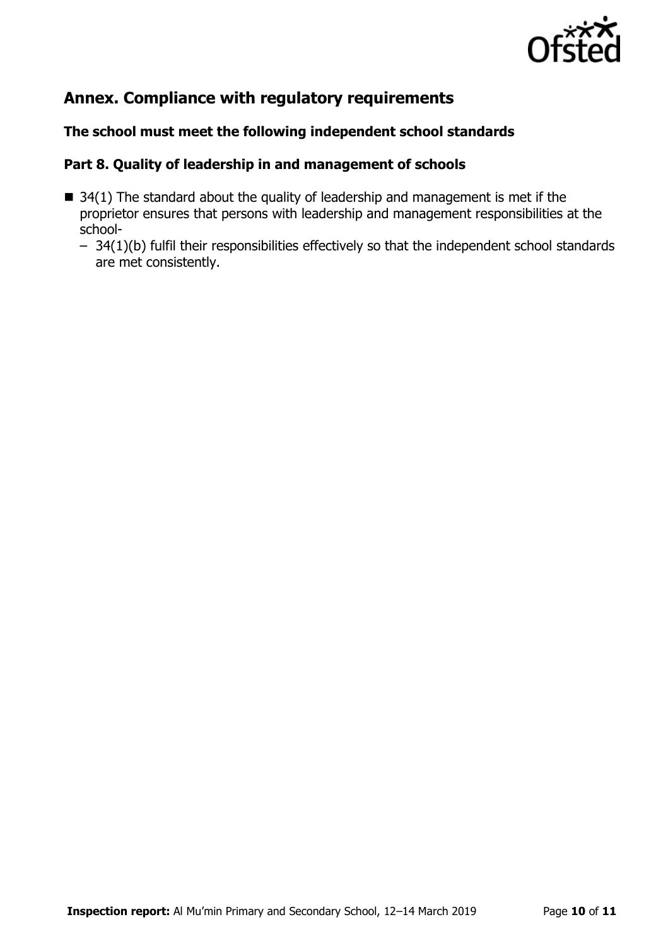

# **Annex. Compliance with regulatory requirements**

### **The school must meet the following independent school standards**

#### **Part 8. Quality of leadership in and management of schools**

- $\blacksquare$  34(1) The standard about the quality of leadership and management is met if the proprietor ensures that persons with leadership and management responsibilities at the school-
	- 34(1)(b) fulfil their responsibilities effectively so that the independent school standards are met consistently.